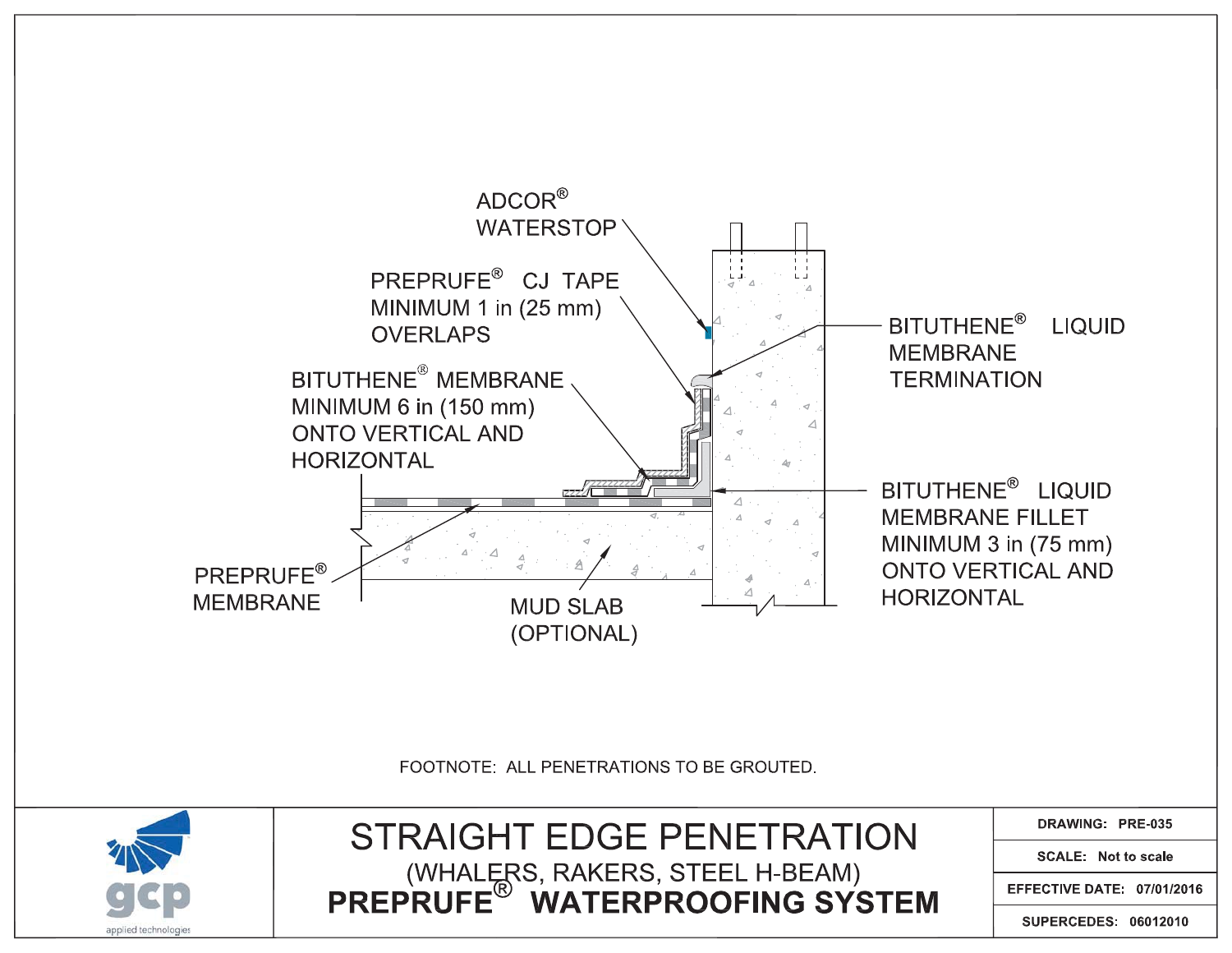

FOOTNOTE: ALL PENETRATIONS TO BE GROUTED.



DRAWING: PRE-035

**SCALE: Not to scale** 

EFFECTIVE DATE: 07/01/2016

SUPERCEDES: 06012010